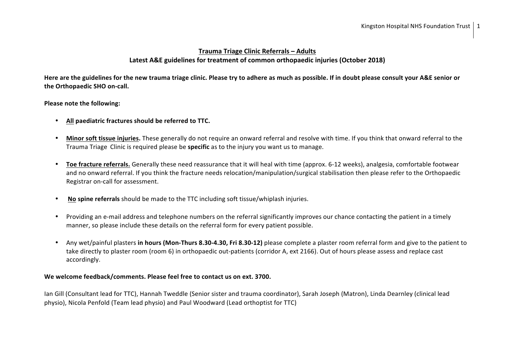### **Trauma Triage Clinic Referrals – Adults**  Latest A&E guidelines for treatment of common orthopaedic iniuries (October 2018)

Here are the guidelines for the new trauma triage clinic. Please try to adhere as much as possible. If in doubt please consult your A&E senior or **the Orthopaedic SHO on-call.** 

**Please note the following:** 

- All paediatric fractures should be referred to TTC.
- Minor soft tissue injuries. These generally do not require an onward referral and resolve with time. If you think that onward referral to the Trauma Triage Clinic is required please be **specific** as to the injury you want us to manage.
- Toe fracture referrals. Generally these need reassurance that it will heal with time (approx. 6-12 weeks), analgesia, comfortable footwear and no onward referral. If you think the fracture needs relocation/manipulation/surgical stabilisation then please refer to the Orthopaedic Registrar on-call for assessment.
- **No spine referrals** should be made to the TTC including soft tissue/whiplash injuries.
- Providing an e-mail address and telephone numbers on the referral significantly improves our chance contacting the patient in a timely manner, so please include these details on the referral form for every patient possible.
- Any wet/painful plasters in hours (Mon-Thurs 8.30-4.30, Fri 8.30-12) please complete a plaster room referral form and give to the patient to take directly to plaster room (room 6) in orthopaedic out-patients (corridor A, ext 2166). Out of hours please assess and replace cast accordingly.

#### We welcome feedback/comments. Please feel free to contact us on ext. 3700.

Ian Gill (Consultant lead for TTC), Hannah Tweddle (Senior sister and trauma coordinator), Sarah Joseph (Matron), Linda Dearnley (clinical lead physio), Nicola Penfold (Team lead physio) and Paul Woodward (Lead orthoptist for TTC)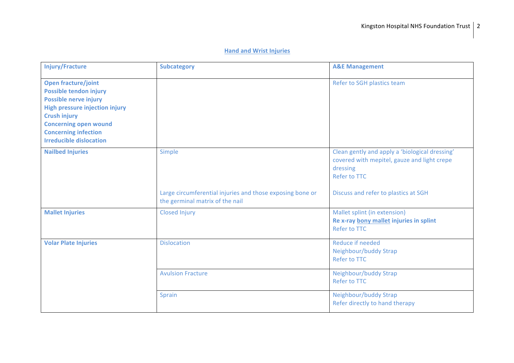### **Hand and Wrist Injuries**

| <b>Injury/Fracture</b>                                                                                                                                                                                                                                | <b>Subcategory</b>                                                                                            | <b>A&amp;E Management</b>                                                                                                                                                |
|-------------------------------------------------------------------------------------------------------------------------------------------------------------------------------------------------------------------------------------------------------|---------------------------------------------------------------------------------------------------------------|--------------------------------------------------------------------------------------------------------------------------------------------------------------------------|
| <b>Open fracture/joint</b><br>Possible tendon injury<br><b>Possible nerve injury</b><br><b>High pressure injection injury</b><br><b>Crush injury</b><br><b>Concerning open wound</b><br><b>Concerning infection</b><br><b>Irreducible dislocation</b> |                                                                                                               | Refer to SGH plastics team                                                                                                                                               |
| <b>Nailbed Injuries</b>                                                                                                                                                                                                                               | <b>Simple</b><br>Large circumferential injuries and those exposing bone or<br>the germinal matrix of the nail | Clean gently and apply a 'biological dressing'<br>covered with mepitel, gauze and light crepe<br>dressing<br><b>Refer to TTC</b><br>Discuss and refer to plastics at SGH |
| <b>Mallet Injuries</b>                                                                                                                                                                                                                                | <b>Closed Injury</b>                                                                                          | Mallet splint (in extension)<br>Re x-ray bony mallet injuries in splint<br><b>Refer to TTC</b>                                                                           |
| <b>Volar Plate Injuries</b>                                                                                                                                                                                                                           | <b>Dislocation</b>                                                                                            | Reduce if needed<br>Neighbour/buddy Strap<br><b>Refer to TTC</b>                                                                                                         |
|                                                                                                                                                                                                                                                       | <b>Avulsion Fracture</b>                                                                                      | Neighbour/buddy Strap<br><b>Refer to TTC</b>                                                                                                                             |
|                                                                                                                                                                                                                                                       | Sprain                                                                                                        | Neighbour/buddy Strap<br>Refer directly to hand therapy                                                                                                                  |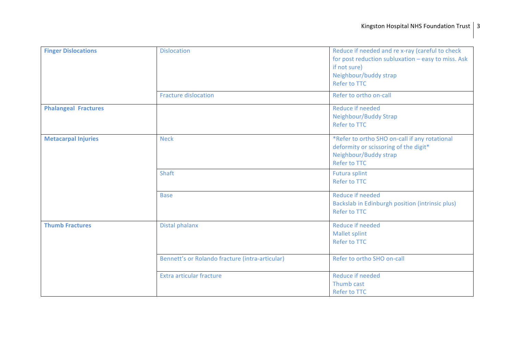| <b>Finger Dislocations</b>  | <b>Dislocation</b>                              | Reduce if needed and re x-ray (careful to check<br>for post reduction subluxation - easy to miss. Ask<br>if not sure)<br>Neighbour/buddy strap<br>Refer to TTC |
|-----------------------------|-------------------------------------------------|----------------------------------------------------------------------------------------------------------------------------------------------------------------|
|                             | <b>Fracture dislocation</b>                     | Refer to ortho on-call                                                                                                                                         |
| <b>Phalangeal Fractures</b> |                                                 | Reduce if needed<br>Neighbour/Buddy Strap<br><b>Refer to TTC</b>                                                                                               |
| <b>Metacarpal Injuries</b>  | <b>Neck</b>                                     | *Refer to ortho SHO on-call if any rotational<br>deformity or scissoring of the digit*<br>Neighbour/Buddy strap<br><b>Refer to TTC</b>                         |
|                             | Shaft                                           | <b>Futura splint</b><br><b>Refer to TTC</b>                                                                                                                    |
|                             | <b>Base</b>                                     | Reduce if needed<br>Backslab in Edinburgh position (intrinsic plus)<br><b>Refer to TTC</b>                                                                     |
| <b>Thumb Fractures</b>      | Distal phalanx                                  | <b>Reduce if needed</b><br>Mallet splint<br><b>Refer to TTC</b>                                                                                                |
|                             | Bennett's or Rolando fracture (intra-articular) | Refer to ortho SHO on-call                                                                                                                                     |
|                             | Extra articular fracture                        | <b>Reduce if needed</b><br>Thumb cast<br>Refer to TTC                                                                                                          |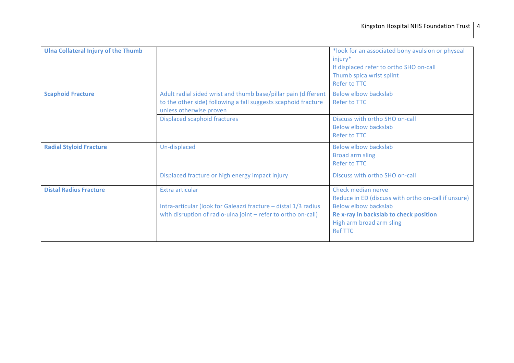| <b>Ulna Collateral Injury of the Thumb</b> |                                                                                                                                                             | *look for an associated bony avulsion or physeal<br>injury*<br>If displaced refer to ortho SHO on-call<br>Thumb spica wrist splint<br><b>Refer to TTC</b>                                        |
|--------------------------------------------|-------------------------------------------------------------------------------------------------------------------------------------------------------------|--------------------------------------------------------------------------------------------------------------------------------------------------------------------------------------------------|
| <b>Scaphoid Fracture</b>                   | Adult radial sided wrist and thumb base/pillar pain (different<br>to the other side) following a fall suggests scaphoid fracture<br>unless otherwise proven | <b>Below elbow backslab</b><br>Refer to TTC                                                                                                                                                      |
|                                            | <b>Displaced scaphoid fractures</b>                                                                                                                         | Discuss with ortho SHO on-call<br>Below elbow backslab<br>Refer to TTC                                                                                                                           |
| <b>Radial Styloid Fracture</b>             | Un-displaced                                                                                                                                                | <b>Below elbow backslab</b><br><b>Broad arm sling</b><br>Refer to TTC                                                                                                                            |
|                                            | Displaced fracture or high energy impact injury                                                                                                             | Discuss with ortho SHO on-call                                                                                                                                                                   |
| <b>Distal Radius Fracture</b>              | Extra articular<br>Intra-articular (look for Galeazzi fracture - distal 1/3 radius<br>with disruption of radio-ulna joint - refer to ortho on-call)         | Check median nerve<br>Reduce in ED (discuss with ortho on-call if unsure)<br><b>Below elbow backslab</b><br>Re x-ray in backslab to check position<br>High arm broad arm sling<br><b>Ref TTC</b> |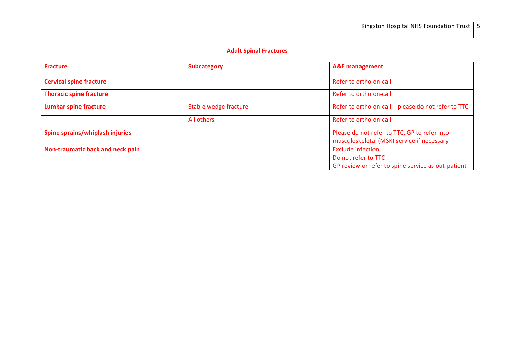### **Adult Spinal Fractures**

| <b>Fracture</b>                  | <b>Subcategory</b>    | <b>A&amp;E</b> management                                                                  |
|----------------------------------|-----------------------|--------------------------------------------------------------------------------------------|
| <b>Cervical spine fracture</b>   |                       | Refer to ortho on-call                                                                     |
| <b>Thoracic spine fracture</b>   |                       | Refer to ortho on-call                                                                     |
| <b>Lumbar spine fracture</b>     | Stable wedge fracture | Refer to ortho on-call - please do not refer to TTC                                        |
|                                  | All others            | Refer to ortho on-call                                                                     |
| Spine sprains/whiplash injuries  |                       | Please do not refer to TTC, GP to refer into<br>musculoskeletal (MSK) service if necessary |
| Non-traumatic back and neck pain |                       | <b>Exclude infection</b>                                                                   |
|                                  |                       | Do not refer to TTC                                                                        |
|                                  |                       | GP review or refer to spine service as out-patient                                         |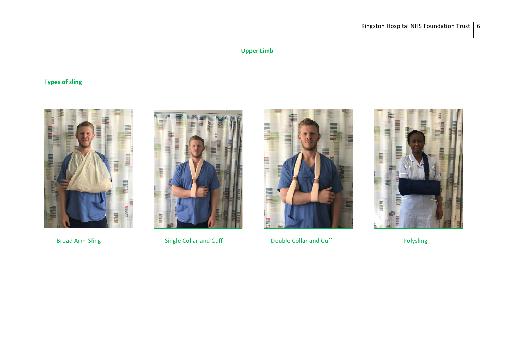## **Upper Limb**

# **Types of sling**







Broad Arm Sling **Single Collar and Cuff Culde Collar and Cuff Collar and Cuff Collar and Cuff Polysling** 

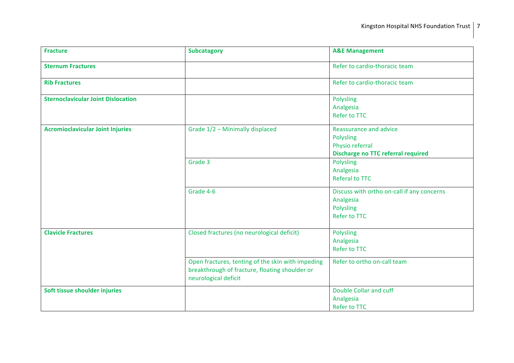| <b>Fracture</b>                           | <b>Subcatagory</b>                                                                                                          | <b>A&amp;E Management</b>                                                                           |
|-------------------------------------------|-----------------------------------------------------------------------------------------------------------------------------|-----------------------------------------------------------------------------------------------------|
| <b>Sternum Fractures</b>                  |                                                                                                                             | Refer to cardio-thoracic team                                                                       |
| <b>Rib Fractures</b>                      |                                                                                                                             | Refer to cardio-thoracic team                                                                       |
| <b>Sternoclavicular Joint Dislocation</b> |                                                                                                                             | Polysling<br>Analgesia<br><b>Refer to TTC</b>                                                       |
| <b>Acromioclavicular Joint Injuries</b>   | Grade 1/2 - Minimally displaced                                                                                             | Reassurance and advice<br>Polysling<br>Physio referral<br><b>Discharge no TTC referral required</b> |
|                                           | Grade 3                                                                                                                     | Polysling<br>Analgesia<br><b>Referal to TTC</b>                                                     |
|                                           | Grade 4-6                                                                                                                   | Discuss with ortho on-call if any concerns<br>Analgesia<br>Polysling<br><b>Refer to TTC</b>         |
| <b>Clavicle Fractures</b>                 | Closed fractures (no neurological deficit)                                                                                  | Polysling<br>Analgesia<br><b>Refer to TTC</b>                                                       |
|                                           | Open fractures, tenting of the skin with impeding<br>breakthrough of fracture, floating shoulder or<br>neurological deficit | Refer to ortho on-call team                                                                         |
| Soft tissue shoulder injuries             |                                                                                                                             | Double Collar and cuff<br>Analgesia<br><b>Refer to TTC</b>                                          |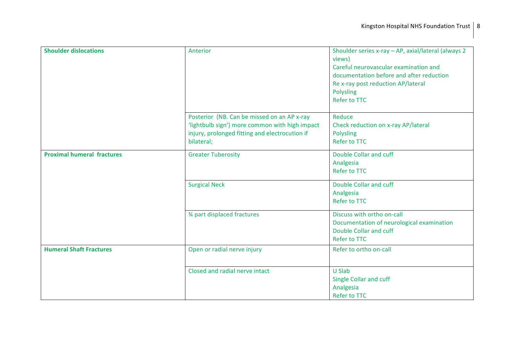| <b>Shoulder dislocations</b>      | Anterior                                                                                                                                                      | Shoulder series x-ray - AP, axial/lateral (always 2<br>views)<br>Careful neurovascular examination and<br>documentation before and after reduction<br>Re x-ray post reduction AP/lateral<br><b>Polysling</b><br><b>Refer to TTC</b> |
|-----------------------------------|---------------------------------------------------------------------------------------------------------------------------------------------------------------|-------------------------------------------------------------------------------------------------------------------------------------------------------------------------------------------------------------------------------------|
|                                   | Posterior (NB. Can be missed on an AP x-ray<br>'lightbulb sign') more common with high impact<br>injury, prolonged fitting and electrocution if<br>bilateral; | Reduce<br>Check reduction on x-ray AP/lateral<br><b>Polysling</b><br><b>Refer to TTC</b>                                                                                                                                            |
| <b>Proximal humeral fractures</b> | <b>Greater Tuberosity</b>                                                                                                                                     | Double Collar and cuff<br>Analgesia<br><b>Refer to TTC</b>                                                                                                                                                                          |
|                                   | <b>Surgical Neck</b>                                                                                                                                          | Double Collar and cuff<br>Analgesia<br><b>Refer to TTC</b>                                                                                                                                                                          |
|                                   | 3⁄4 part displaced fractures                                                                                                                                  | Discuss with ortho on-call<br>Documentation of neurological examination<br>Double Collar and cuff<br>Refer to TTC                                                                                                                   |
| <b>Humeral Shaft Fractures</b>    | Open or radial nerve injury                                                                                                                                   | Refer to ortho on-call                                                                                                                                                                                                              |
|                                   | Closed and radial nerve intact                                                                                                                                | <b>U Slab</b><br>Single Collar and cuff<br>Analgesia<br><b>Refer to TTC</b>                                                                                                                                                         |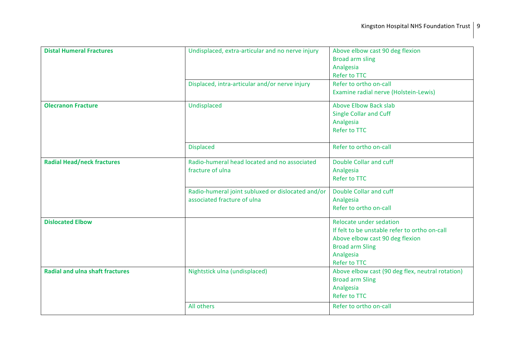| <b>Distal Humeral Fractures</b>        | Undisplaced, extra-articular and no nerve injury             | Above elbow cast 90 deg flexion<br><b>Broad arm sling</b><br>Analgesia                                                                                                                                                                                                           |
|----------------------------------------|--------------------------------------------------------------|----------------------------------------------------------------------------------------------------------------------------------------------------------------------------------------------------------------------------------------------------------------------------------|
|                                        |                                                              | <b>Refer to TTC</b>                                                                                                                                                                                                                                                              |
|                                        | Displaced, intra-articular and/or nerve injury               | Refer to ortho on-call                                                                                                                                                                                                                                                           |
|                                        |                                                              | Examine radial nerve (Holstein-Lewis)                                                                                                                                                                                                                                            |
| <b>Olecranon Fracture</b>              | Undisplaced                                                  | <b>Above Elbow Back slab</b>                                                                                                                                                                                                                                                     |
|                                        |                                                              | <b>Single Collar and Cuff</b>                                                                                                                                                                                                                                                    |
|                                        |                                                              | Analgesia                                                                                                                                                                                                                                                                        |
|                                        |                                                              | <b>Refer to TTC</b>                                                                                                                                                                                                                                                              |
|                                        | <b>Displaced</b>                                             | Refer to ortho on-call                                                                                                                                                                                                                                                           |
| <b>Radial Head/neck fractures</b>      | Radio-humeral head located and no associated                 | Double Collar and cuff                                                                                                                                                                                                                                                           |
|                                        | fracture of ulna                                             | Analgesia                                                                                                                                                                                                                                                                        |
|                                        |                                                              | <b>Refer to TTC</b>                                                                                                                                                                                                                                                              |
|                                        | Radio-humeral joint subluxed or dislocated and/or            | Double Collar and cuff                                                                                                                                                                                                                                                           |
|                                        |                                                              |                                                                                                                                                                                                                                                                                  |
|                                        |                                                              |                                                                                                                                                                                                                                                                                  |
| <b>Dislocated Elbow</b>                |                                                              | Relocate under sedation                                                                                                                                                                                                                                                          |
|                                        |                                                              |                                                                                                                                                                                                                                                                                  |
|                                        |                                                              |                                                                                                                                                                                                                                                                                  |
|                                        |                                                              |                                                                                                                                                                                                                                                                                  |
|                                        |                                                              |                                                                                                                                                                                                                                                                                  |
|                                        |                                                              |                                                                                                                                                                                                                                                                                  |
|                                        |                                                              |                                                                                                                                                                                                                                                                                  |
|                                        |                                                              |                                                                                                                                                                                                                                                                                  |
|                                        |                                                              | <b>Refer to TTC</b>                                                                                                                                                                                                                                                              |
|                                        | All others                                                   | Refer to ortho on-call                                                                                                                                                                                                                                                           |
| <b>Radial and ulna shaft fractures</b> | associated fracture of ulna<br>Nightstick ulna (undisplaced) | Analgesia<br>Refer to ortho on-call<br>If felt to be unstable refer to ortho on-call<br>Above elbow cast 90 deg flexion<br><b>Broad arm Sling</b><br>Analgesia<br><b>Refer to TTC</b><br>Above elbow cast (90 deg flex, neutral rotation)<br><b>Broad arm Sling</b><br>Analgesia |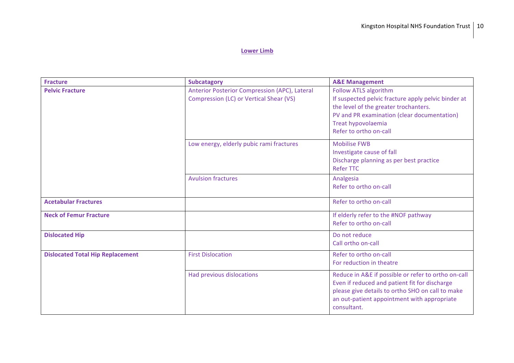#### **Lower Limb**

| <b>Fracture</b>                         | <b>Subcatagory</b>                                                                       | <b>A&amp;E Management</b>                                                                                                                                                                                              |
|-----------------------------------------|------------------------------------------------------------------------------------------|------------------------------------------------------------------------------------------------------------------------------------------------------------------------------------------------------------------------|
| <b>Pelvic Fracture</b>                  | Anterior Posterior Compression (APC), Lateral<br>Compression (LC) or Vertical Shear (VS) | Follow ATLS algorithm<br>If suspected pelvic fracture apply pelvic binder at<br>the level of the greater trochanters.<br>PV and PR examination (clear documentation)<br>Treat hypovolaemia<br>Refer to ortho on-call   |
|                                         | Low energy, elderly pubic rami fractures                                                 | <b>Mobilise FWB</b><br>Investigate cause of fall<br>Discharge planning as per best practice<br><b>Refer TTC</b>                                                                                                        |
|                                         | <b>Avulsion fractures</b>                                                                | Analgesia<br>Refer to ortho on-call                                                                                                                                                                                    |
| <b>Acetabular Fractures</b>             |                                                                                          | Refer to ortho on-call                                                                                                                                                                                                 |
| <b>Neck of Femur Fracture</b>           |                                                                                          | If elderly refer to the #NOF pathway<br>Refer to ortho on-call                                                                                                                                                         |
| <b>Dislocated Hip</b>                   |                                                                                          | Do not reduce<br>Call ortho on-call                                                                                                                                                                                    |
| <b>Dislocated Total Hip Replacement</b> | <b>First Dislocation</b>                                                                 | Refer to ortho on-call<br>For reduction in theatre                                                                                                                                                                     |
|                                         | Had previous dislocations                                                                | Reduce in A&E if possible or refer to ortho on-call<br>Even if reduced and patient fit for discharge<br>please give details to ortho SHO on call to make<br>an out-patient appointment with appropriate<br>consultant. |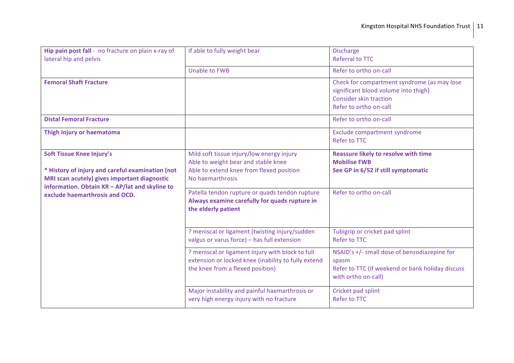| Hip pain post fall - no fracture on plain x-ray of<br>lateral hip and pelvis                                                                                                           | If able to fully weight bear                                                                                                                     | <b>Discharge</b><br><b>Referral to TTC</b>                                                                                                     |
|----------------------------------------------------------------------------------------------------------------------------------------------------------------------------------------|--------------------------------------------------------------------------------------------------------------------------------------------------|------------------------------------------------------------------------------------------------------------------------------------------------|
|                                                                                                                                                                                        | <b>Unable to FWB</b>                                                                                                                             | Refer to ortho on-call                                                                                                                         |
| <b>Femoral Shaft Fracture</b>                                                                                                                                                          |                                                                                                                                                  | Check for compartment syndrome (as may lose<br>significant blood volume into thigh)<br><b>Consider skin traction</b><br>Refer to ortho on-call |
| <b>Distal Femoral Fracture</b>                                                                                                                                                         |                                                                                                                                                  | Refer to ortho on-call                                                                                                                         |
| Thigh Injury or haematoma                                                                                                                                                              |                                                                                                                                                  | Exclude compartment syndrome<br><b>Refer to TTC</b>                                                                                            |
| <b>Soft Tissue Knee Injury's</b><br>* History of injury and careful examination (not<br>MRI scan acutely) gives important diagnostic<br>information. Obtain XR - AP/lat and skyline to | Mild soft tissue injury/low energy injury<br>Able to weight bear and stable knee<br>Able to extend knee from flexed position<br>No haemarthrosis | <b>Reassure likely to resolve with time</b><br><b>Mobilise FWB</b><br>See GP in 6/52 if still symptomatic                                      |
| exclude haemarthrosis and OCD.                                                                                                                                                         | Patella tendon rupture or quads tendon rupture<br>Always examine carefully for quads rupture in<br>the elderly patient                           | Refer to ortho on-call                                                                                                                         |
|                                                                                                                                                                                        | ? meniscal or ligament (twisting injury/sudden<br>valgus or varus force) - has full extension                                                    | Tubigrip or cricket pad splint<br><b>Refer to TTC</b>                                                                                          |
|                                                                                                                                                                                        | ? meniscal or ligament injury with block to full<br>extension or locked knee (inability to fully extend<br>the knee from a flexed position)      | NSAID's +/- small dose of benzodiazepine for<br>spasm<br>Refer to TTC (if weekend or bank holiday discuss<br>with ortho on-call)               |
|                                                                                                                                                                                        | Major instability and painful haemarthrosis or<br>very high energy injury with no fracture                                                       | Cricket pad splint<br><b>Refer to TTC</b>                                                                                                      |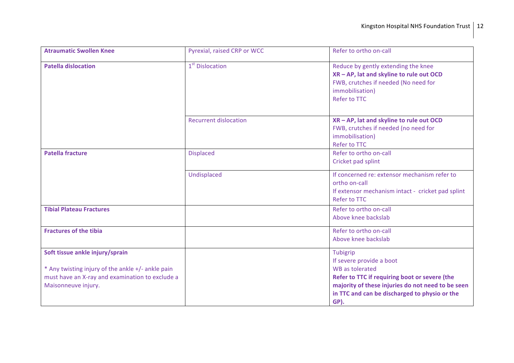| <b>Atraumatic Swollen Knee</b>                                                                                                                                 | Pyrexial, raised CRP or WCC  | Refer to ortho on-call                                                                                                                                                                                                 |
|----------------------------------------------------------------------------------------------------------------------------------------------------------------|------------------------------|------------------------------------------------------------------------------------------------------------------------------------------------------------------------------------------------------------------------|
| <b>Patella dislocation</b>                                                                                                                                     | 1 <sup>st</sup> Dislocation  | Reduce by gently extending the knee<br>XR - AP, lat and skyline to rule out OCD<br>FWB, crutches if needed (No need for<br>immobilisation)<br><b>Refer to TTC</b>                                                      |
|                                                                                                                                                                | <b>Recurrent dislocation</b> | XR - AP, lat and skyline to rule out OCD<br>FWB, crutches if needed (no need for<br>immobilisation)<br><b>Refer to TTC</b>                                                                                             |
| <b>Patella fracture</b>                                                                                                                                        | <b>Displaced</b>             | Refer to ortho on-call<br>Cricket pad splint                                                                                                                                                                           |
|                                                                                                                                                                | Undisplaced                  | If concerned re: extensor mechanism refer to<br>ortho on-call<br>If extensor mechanism intact - cricket pad splint<br><b>Refer to TTC</b>                                                                              |
| <b>Tibial Plateau Fractures</b>                                                                                                                                |                              | Refer to ortho on-call<br>Above knee backslab                                                                                                                                                                          |
| <b>Fractures of the tibia</b>                                                                                                                                  |                              | Refer to ortho on-call<br>Above knee backslab                                                                                                                                                                          |
| Soft tissue ankle injury/sprain<br>* Any twisting injury of the ankle +/- ankle pain<br>must have an X-ray and examination to exclude a<br>Maisonneuve injury. |                              | Tubigrip<br>If severe provide a boot<br>WB as tolerated<br>Refer to TTC if requiring boot or severe (the<br>majority of these injuries do not need to be seen<br>in TTC and can be discharged to physio or the<br>GP). |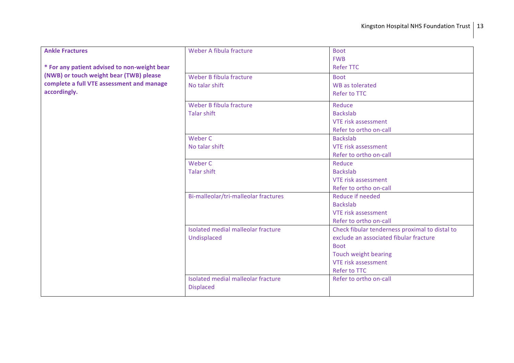| <b>Ankle Fractures</b>                       | Weber A fibula fracture              | <b>Boot</b>                                    |
|----------------------------------------------|--------------------------------------|------------------------------------------------|
|                                              |                                      | <b>FWB</b>                                     |
| * For any patient advised to non-weight bear |                                      | <b>Refer TTC</b>                               |
| (NWB) or touch weight bear (TWB) please      | Weber B fibula fracture              | <b>Boot</b>                                    |
| complete a full VTE assessment and manage    | No talar shift                       | <b>WB</b> as tolerated                         |
| accordingly.                                 |                                      | <b>Refer to TTC</b>                            |
|                                              | Weber B fibula fracture              | Reduce                                         |
|                                              | <b>Talar shift</b>                   | <b>Backslab</b>                                |
|                                              |                                      | <b>VTE risk assessment</b>                     |
|                                              |                                      | Refer to ortho on-call                         |
|                                              | Weber C                              | <b>Backslab</b>                                |
|                                              | No talar shift                       | VTE risk assessment                            |
|                                              |                                      | Refer to ortho on-call                         |
|                                              | Weber C                              | Reduce                                         |
|                                              | <b>Talar shift</b>                   | <b>Backslab</b>                                |
|                                              |                                      | <b>VTE risk assessment</b>                     |
|                                              |                                      | Refer to ortho on-call                         |
|                                              | Bi-malleolar/tri-malleolar fractures | Reduce if needed                               |
|                                              |                                      | <b>Backslab</b>                                |
|                                              |                                      | <b>VTE risk assessment</b>                     |
|                                              |                                      | Refer to ortho on-call                         |
|                                              | Isolated medial malleolar fracture   | Check fibular tenderness proximal to distal to |
|                                              | Undisplaced                          | exclude an associated fibular fracture         |
|                                              |                                      | <b>Boot</b>                                    |
|                                              |                                      | <b>Touch weight bearing</b>                    |
|                                              |                                      | <b>VTE risk assessment</b>                     |
|                                              |                                      | <b>Refer to TTC</b>                            |
|                                              | Isolated medial malleolar fracture   | Refer to ortho on-call                         |
|                                              | <b>Displaced</b>                     |                                                |
|                                              |                                      |                                                |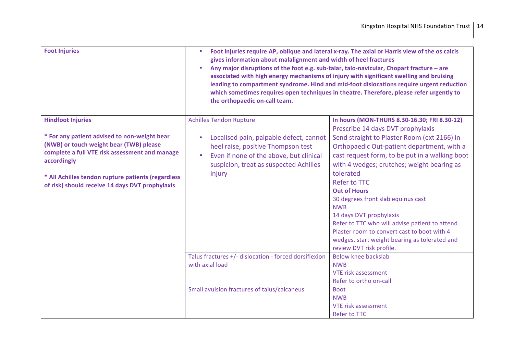| <b>Foot Injuries</b>                                                                                                                                                                                                                                                                          | Foot injuries require AP, oblique and lateral x-ray. The axial or Harris view of the os calcis<br>$\bullet$<br>gives information about malalignment and width of heel fractures<br>Any major disruptions of the foot e.g. sub-talar, talo-navicular, Chopart fracture - are<br>$\bullet$<br>associated with high energy mechanisms of injury with significant swelling and bruising<br>leading to compartment syndrome. Hind and mid-foot dislocations require urgent reduction<br>which sometimes requires open techniques in theatre. Therefore, please refer urgently to<br>the orthopaedic on-call team. |                                                                                                                                                                                                                                                                                                                                                                                                                                                                                                                                                                            |
|-----------------------------------------------------------------------------------------------------------------------------------------------------------------------------------------------------------------------------------------------------------------------------------------------|--------------------------------------------------------------------------------------------------------------------------------------------------------------------------------------------------------------------------------------------------------------------------------------------------------------------------------------------------------------------------------------------------------------------------------------------------------------------------------------------------------------------------------------------------------------------------------------------------------------|----------------------------------------------------------------------------------------------------------------------------------------------------------------------------------------------------------------------------------------------------------------------------------------------------------------------------------------------------------------------------------------------------------------------------------------------------------------------------------------------------------------------------------------------------------------------------|
| <b>Hindfoot Injuries</b><br>* For any patient advised to non-weight bear<br>(NWB) or touch weight bear (TWB) please<br>complete a full VTE risk assessment and manage<br>accordingly<br>* All Achilles tendon rupture patients (regardless<br>of risk) should receive 14 days DVT prophylaxis | <b>Achilles Tendon Rupture</b><br>Localised pain, palpable defect, cannot<br>$\bullet$<br>heel raise, positive Thompson test<br>Even if none of the above, but clinical<br>suspicion, treat as suspected Achilles<br>injury                                                                                                                                                                                                                                                                                                                                                                                  | In hours (MON-THURS 8.30-16.30; FRI 8.30-12)<br>Prescribe 14 days DVT prophylaxis<br>Send straight to Plaster Room (ext 2166) in<br>Orthopaedic Out-patient department, with a<br>cast request form, to be put in a walking boot<br>with 4 wedges; crutches; weight bearing as<br>tolerated<br><b>Refer to TTC</b><br><b>Out of Hours</b><br>30 degrees front slab equinus cast<br><b>NWB</b><br>14 days DVT prophylaxis<br>Refer to TTC who will advise patient to attend<br>Plaster room to convert cast to boot with 4<br>wedges, start weight bearing as tolerated and |
|                                                                                                                                                                                                                                                                                               | Talus fractures +/- dislocation - forced dorsiflexion<br>with axial load<br>Small avulsion fractures of talus/calcaneus                                                                                                                                                                                                                                                                                                                                                                                                                                                                                      | review DVT risk profile.<br>Below knee backslab<br><b>NWB</b><br>VTE risk assessment<br>Refer to ortho on-call<br><b>Boot</b><br><b>NWB</b><br><b>VTE risk assessment</b>                                                                                                                                                                                                                                                                                                                                                                                                  |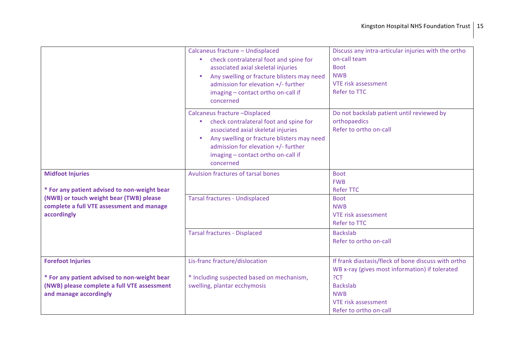|                                                                                                     | Calcaneus fracture - Undisplaced<br>check contralateral foot and spine for<br>$\bullet$<br>associated axial skeletal injuries<br>Any swelling or fracture blisters may need<br>$\bullet$<br>admission for elevation +/- further<br>imaging - contact ortho on-call if<br>concerned | Discuss any intra-articular injuries with the ortho<br>on-call team<br><b>Boot</b><br><b>NWB</b><br><b>VTE risk assessment</b><br>Refer to TTC |
|-----------------------------------------------------------------------------------------------------|------------------------------------------------------------------------------------------------------------------------------------------------------------------------------------------------------------------------------------------------------------------------------------|------------------------------------------------------------------------------------------------------------------------------------------------|
|                                                                                                     | Calcaneus fracture -Displaced<br>check contralateral foot and spine for<br>$\bullet$<br>associated axial skeletal injuries<br>Any swelling or fracture blisters may need<br>admission for elevation +/- further<br>imaging - contact ortho on-call if<br>concerned                 | Do not backslab patient until reviewed by<br>orthopaedics<br>Refer to ortho on-call                                                            |
| <b>Midfoot Injuries</b><br>* For any patient advised to non-weight bear                             | Avulsion fractures of tarsal bones                                                                                                                                                                                                                                                 | <b>Boot</b><br><b>FWB</b><br><b>Refer TTC</b>                                                                                                  |
| (NWB) or touch weight bear (TWB) please<br>complete a full VTE assessment and manage<br>accordingly | <b>Tarsal fractures - Undisplaced</b>                                                                                                                                                                                                                                              | <b>Boot</b><br><b>NWB</b><br><b>VTE risk assessment</b><br>Refer to TTC                                                                        |
|                                                                                                     | <b>Tarsal fractures - Displaced</b>                                                                                                                                                                                                                                                | <b>Backslab</b><br>Refer to ortho on-call                                                                                                      |
| <b>Forefoot Injuries</b>                                                                            | Lis-franc fracture/dislocation                                                                                                                                                                                                                                                     | If frank diastasis/fleck of bone discuss with ortho<br>WB x-ray (gives most information) if tolerated                                          |
| * For any patient advised to non-weight bear                                                        | * Including suspected based on mechanism,                                                                                                                                                                                                                                          | ?CT                                                                                                                                            |
| (NWB) please complete a full VTE assessment                                                         | swelling, plantar ecchymosis                                                                                                                                                                                                                                                       | <b>Backslab</b>                                                                                                                                |
| and manage accordingly                                                                              |                                                                                                                                                                                                                                                                                    | <b>NWB</b>                                                                                                                                     |
|                                                                                                     |                                                                                                                                                                                                                                                                                    | VTE risk assessment                                                                                                                            |
|                                                                                                     |                                                                                                                                                                                                                                                                                    | Refer to ortho on-call                                                                                                                         |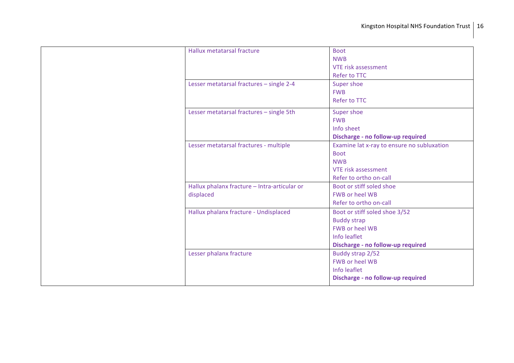|  | Hallux metatarsal fracture                   | <b>Boot</b>                                |
|--|----------------------------------------------|--------------------------------------------|
|  |                                              | <b>NWB</b>                                 |
|  |                                              | <b>VTE risk assessment</b>                 |
|  |                                              | Refer to TTC                               |
|  | Lesser metatarsal fractures - single 2-4     | Super shoe                                 |
|  |                                              | <b>FWB</b>                                 |
|  |                                              | <b>Refer to TTC</b>                        |
|  | Lesser metatarsal fractures - single 5th     | Super shoe                                 |
|  |                                              | <b>FWB</b>                                 |
|  |                                              | Info sheet                                 |
|  |                                              | Discharge - no follow-up required          |
|  | Lesser metatarsal fractures - multiple       | Examine lat x-ray to ensure no subluxation |
|  |                                              | <b>Boot</b>                                |
|  |                                              | <b>NWB</b>                                 |
|  |                                              | <b>VTE risk assessment</b>                 |
|  |                                              | Refer to ortho on-call                     |
|  | Hallux phalanx fracture - Intra-articular or | Boot or stiff soled shoe                   |
|  | displaced                                    | <b>FWB or heel WB</b>                      |
|  |                                              | Refer to ortho on-call                     |
|  | Hallux phalanx fracture - Undisplaced        | Boot or stiff soled shoe 3/52              |
|  |                                              | <b>Buddy strap</b>                         |
|  |                                              | <b>FWB or heel WB</b>                      |
|  |                                              | Info leaflet                               |
|  |                                              | Discharge - no follow-up required          |
|  | Lesser phalanx fracture                      | Buddy strap 2/52                           |
|  |                                              | <b>FWB or heel WB</b>                      |
|  |                                              | Info leaflet                               |
|  |                                              | Discharge - no follow-up required          |
|  |                                              |                                            |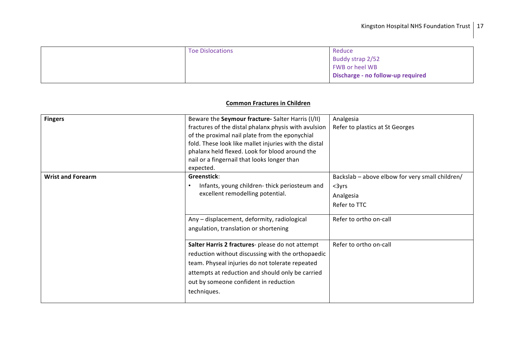| <b>Toe Dislocations</b> | Reduce                            |
|-------------------------|-----------------------------------|
|                         | Buddy strap 2/52                  |
|                         | FWB or heel WB                    |
|                         | Discharge - no follow-up required |
|                         |                                   |

#### **Common Fractures in Children**

| <b>Fingers</b>           | Beware the Seymour fracture- Salter Harris (I/II)     | Analgesia                                       |
|--------------------------|-------------------------------------------------------|-------------------------------------------------|
|                          | fractures of the distal phalanx physis with avulsion  | Refer to plastics at St Georges                 |
|                          | of the proximal nail plate from the eponychial        |                                                 |
|                          | fold. These look like mallet injuries with the distal |                                                 |
|                          | phalanx held flexed. Look for blood around the        |                                                 |
|                          | nail or a fingernail that looks longer than           |                                                 |
|                          | expected.                                             |                                                 |
| <b>Wrist and Forearm</b> | Greenstick:                                           | Backslab - above elbow for very small children/ |
|                          | Infants, young children-thick periosteum and          | $3yrs$                                          |
|                          | excellent remodelling potential.                      | Analgesia                                       |
|                          |                                                       | Refer to TTC                                    |
|                          |                                                       |                                                 |
|                          | Any - displacement, deformity, radiological           | Refer to ortho on-call                          |
|                          | angulation, translation or shortening                 |                                                 |
|                          |                                                       |                                                 |
|                          | Salter Harris 2 fractures- please do not attempt      | Refer to ortho on-call                          |
|                          | reduction without discussing with the orthopaedic     |                                                 |
|                          | team. Physeal injuries do not tolerate repeated       |                                                 |
|                          | attempts at reduction and should only be carried      |                                                 |
|                          | out by someone confident in reduction                 |                                                 |
|                          |                                                       |                                                 |
|                          | techniques.                                           |                                                 |
|                          |                                                       |                                                 |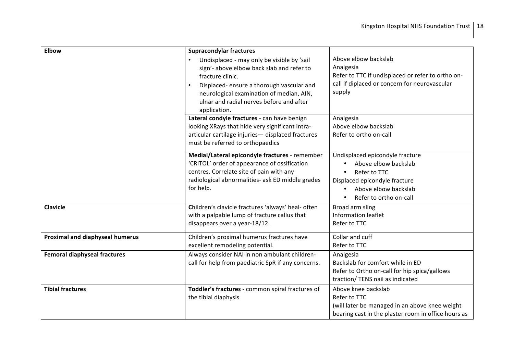| <b>Elbow</b>                           | <b>Supracondylar fractures</b>                                                                                                                                                                                                                                  |                                                                                                                                                                                      |
|----------------------------------------|-----------------------------------------------------------------------------------------------------------------------------------------------------------------------------------------------------------------------------------------------------------------|--------------------------------------------------------------------------------------------------------------------------------------------------------------------------------------|
|                                        | Undisplaced - may only be visible by 'sail<br>sign'- above elbow back slab and refer to<br>fracture clinic.<br>Displaced-ensure a thorough vascular and<br>neurological examination of median, AIN,<br>ulnar and radial nerves before and after<br>application. | Above elbow backslab<br>Analgesia<br>Refer to TTC if undisplaced or refer to ortho on-<br>call if diplaced or concern for neurovascular<br>supply                                    |
|                                        | Lateral condyle fractures - can have benign<br>looking XRays that hide very significant intra-<br>articular cartilage injuries- displaced fractures<br>must be referred to orthopaedics                                                                         | Analgesia<br>Above elbow backslab<br>Refer to ortho on-call                                                                                                                          |
|                                        | Medial/Lateral epicondyle fractures - remember<br>'CRITOL' order of appearance of ossification<br>centres. Correlate site of pain with any<br>radiological abnormalities- ask ED middle grades<br>for help.                                                     | Undisplaced epicondyle fracture<br>Above elbow backslab<br>Refer to TTC<br>$\bullet$<br>Displaced epicondyle fracture<br>Above elbow backslab<br>Refer to ortho on-call<br>$\bullet$ |
| <b>Clavicle</b>                        | Children's clavicle fractures 'always' heal- often<br>with a palpable lump of fracture callus that<br>disappears over a year-18/12.                                                                                                                             | Broad arm sling<br><b>Information leaflet</b><br>Refer to TTC                                                                                                                        |
| <b>Proximal and diaphyseal humerus</b> | Children's proximal humerus fractures have<br>excellent remodeling potential.                                                                                                                                                                                   | Collar and cuff<br>Refer to TTC                                                                                                                                                      |
| <b>Femoral diaphyseal fractures</b>    | Always consider NAI in non ambulant children-<br>call for help from paediatric SpR if any concerns.                                                                                                                                                             | Analgesia<br>Backslab for comfort while in ED<br>Refer to Ortho on-call for hip spica/gallows<br>traction/ TENS nail as indicated                                                    |
| <b>Tibial fractures</b>                | Toddler's fractures - common spiral fractures of<br>the tibial diaphysis                                                                                                                                                                                        | Above knee backslab<br>Refer to TTC<br>(will later be managed in an above knee weight<br>bearing cast in the plaster room in office hours as                                         |